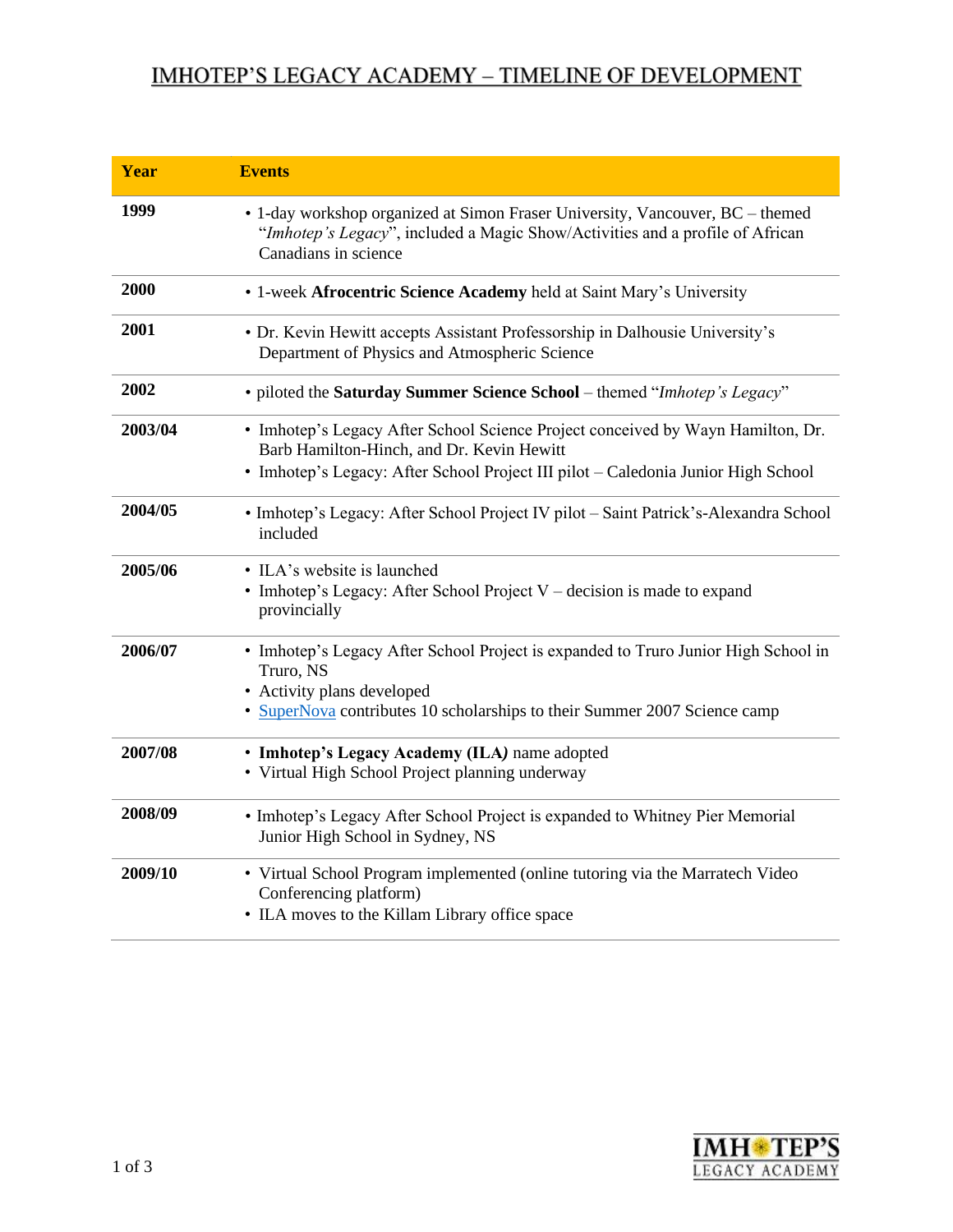## IMHOTEP'S LEGACY ACADEMY - TIMELINE OF DEVELOPMENT

| Year    | <b>Events</b>                                                                                                                                                                                              |
|---------|------------------------------------------------------------------------------------------------------------------------------------------------------------------------------------------------------------|
| 1999    | • 1-day workshop organized at Simon Fraser University, Vancouver, BC – themed<br>"Imhotep's Legacy", included a Magic Show/Activities and a profile of African<br>Canadians in science                     |
| 2000    | • 1-week Afrocentric Science Academy held at Saint Mary's University                                                                                                                                       |
| 2001    | • Dr. Kevin Hewitt accepts Assistant Professorship in Dalhousie University's<br>Department of Physics and Atmospheric Science                                                                              |
| 2002    | · piloted the Saturday Summer Science School - themed "Imhotep's Legacy"                                                                                                                                   |
| 2003/04 | • Imhotep's Legacy After School Science Project conceived by Wayn Hamilton, Dr.<br>Barb Hamilton-Hinch, and Dr. Kevin Hewitt                                                                               |
|         | • Imhotep's Legacy: After School Project III pilot - Caledonia Junior High School                                                                                                                          |
| 2004/05 | · Imhotep's Legacy: After School Project IV pilot - Saint Patrick's-Alexandra School<br>included                                                                                                           |
| 2005/06 | • ILA's website is launched<br>• Imhotep's Legacy: After School Project V – decision is made to expand<br>provincially                                                                                     |
| 2006/07 | • Imhotep's Legacy After School Project is expanded to Truro Junior High School in<br>Truro, NS<br>• Activity plans developed<br>• SuperNova contributes 10 scholarships to their Summer 2007 Science camp |
| 2007/08 | • Imhotep's Legacy Academy (ILA) name adopted<br>• Virtual High School Project planning underway                                                                                                           |
| 2008/09 | • Imhotep's Legacy After School Project is expanded to Whitney Pier Memorial<br>Junior High School in Sydney, NS                                                                                           |
| 2009/10 | • Virtual School Program implemented (online tutoring via the Marratech Video<br>Conferencing platform)<br>• ILA moves to the Killam Library office space                                                  |

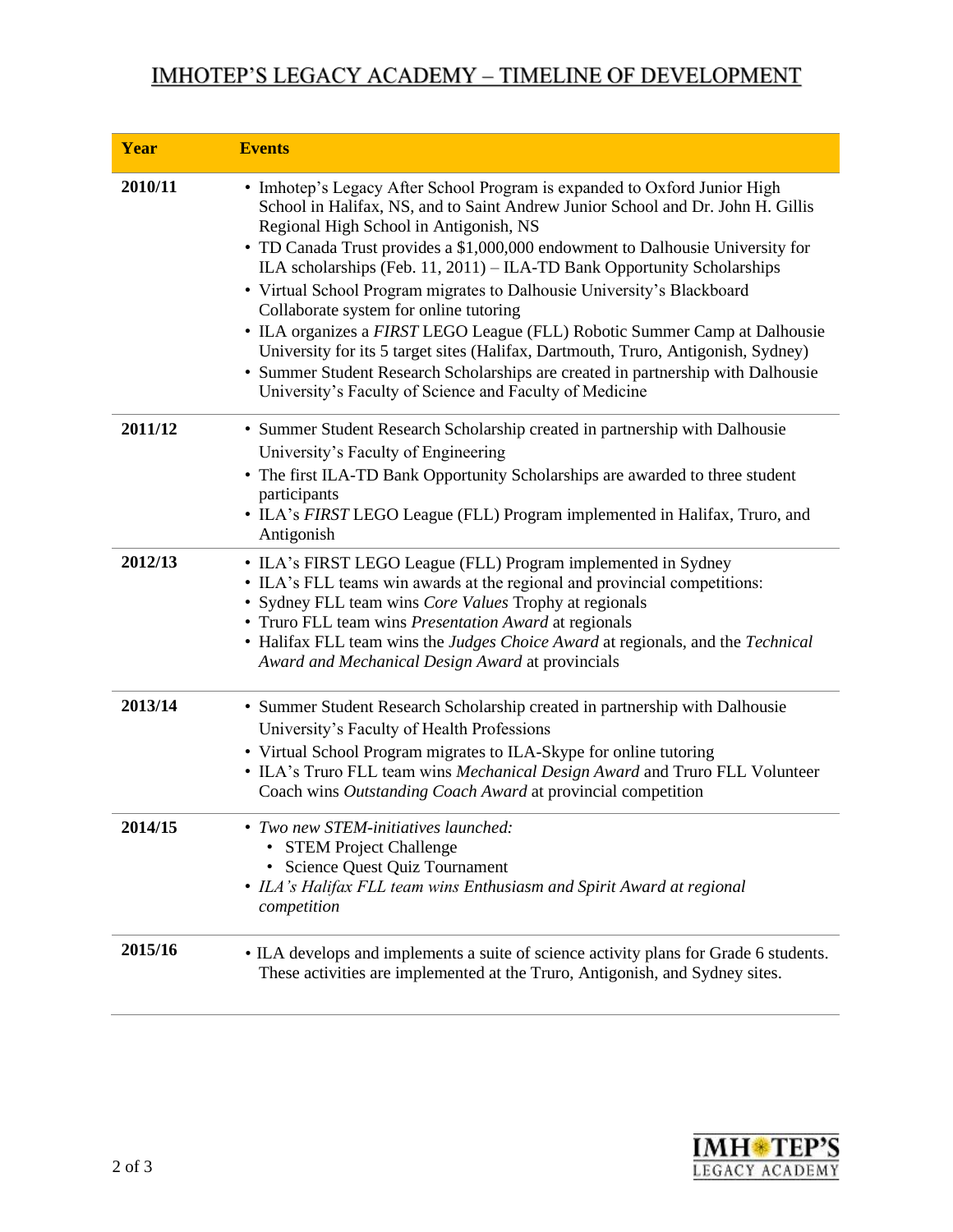## IMHOTEP'S LEGACY ACADEMY - TIMELINE OF DEVELOPMENT

| <b>Year</b> | <b>Events</b>                                                                                                                                                                                                                                                                                                                                                                                                                                                                                                                                                                                                                                                                                                                                                                                             |
|-------------|-----------------------------------------------------------------------------------------------------------------------------------------------------------------------------------------------------------------------------------------------------------------------------------------------------------------------------------------------------------------------------------------------------------------------------------------------------------------------------------------------------------------------------------------------------------------------------------------------------------------------------------------------------------------------------------------------------------------------------------------------------------------------------------------------------------|
| 2010/11     | • Imhotep's Legacy After School Program is expanded to Oxford Junior High<br>School in Halifax, NS, and to Saint Andrew Junior School and Dr. John H. Gillis<br>Regional High School in Antigonish, NS<br>• TD Canada Trust provides a \$1,000,000 endowment to Dalhousie University for<br>ILA scholarships (Feb. 11, 2011) - ILA-TD Bank Opportunity Scholarships<br>• Virtual School Program migrates to Dalhousie University's Blackboard<br>Collaborate system for online tutoring<br>• ILA organizes a FIRST LEGO League (FLL) Robotic Summer Camp at Dalhousie<br>University for its 5 target sites (Halifax, Dartmouth, Truro, Antigonish, Sydney)<br>• Summer Student Research Scholarships are created in partnership with Dalhousie<br>University's Faculty of Science and Faculty of Medicine |
| 2011/12     | • Summer Student Research Scholarship created in partnership with Dalhousie<br>University's Faculty of Engineering<br>• The first ILA-TD Bank Opportunity Scholarships are awarded to three student<br>participants<br>• ILA's FIRST LEGO League (FLL) Program implemented in Halifax, Truro, and<br>Antigonish                                                                                                                                                                                                                                                                                                                                                                                                                                                                                           |
| 2012/13     | • ILA's FIRST LEGO League (FLL) Program implemented in Sydney<br>• ILA's FLL teams win awards at the regional and provincial competitions:<br>· Sydney FLL team wins Core Values Trophy at regionals<br>• Truro FLL team wins Presentation Award at regionals<br>• Halifax FLL team wins the Judges Choice Award at regionals, and the Technical<br>Award and Mechanical Design Award at provincials                                                                                                                                                                                                                                                                                                                                                                                                      |
| 2013/14     | • Summer Student Research Scholarship created in partnership with Dalhousie<br>University's Faculty of Health Professions<br>• Virtual School Program migrates to ILA-Skype for online tutoring<br>• ILA's Truro FLL team wins Mechanical Design Award and Truro FLL Volunteer<br>Coach wins Outstanding Coach Award at provincial competition                                                                                                                                                                                                                                                                                                                                                                                                                                                            |
| 2014/15     | • Two new STEM-initiatives launched:<br>• STEM Project Challenge<br>Science Quest Quiz Tournament<br>• ILA's Halifax FLL team wins Enthusiasm and Spirit Award at regional<br>competition                                                                                                                                                                                                                                                                                                                                                                                                                                                                                                                                                                                                                 |
| 2015/16     | • ILA develops and implements a suite of science activity plans for Grade 6 students.<br>These activities are implemented at the Truro, Antigonish, and Sydney sites.                                                                                                                                                                                                                                                                                                                                                                                                                                                                                                                                                                                                                                     |